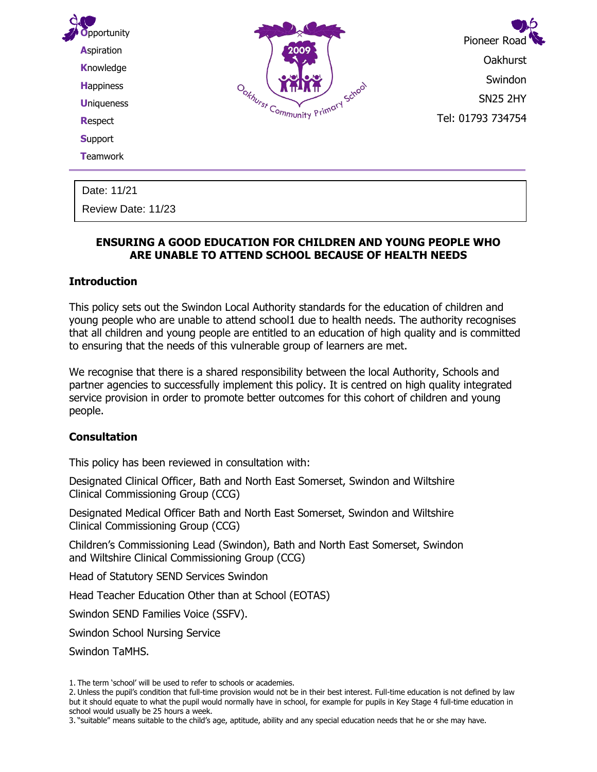| <b>Support</b>   | Tel: 01793 734754 |
|------------------|-------------------|
| <b>T</b> eamwork |                   |

## **ENSURING A GOOD EDUCATION FOR CHILDREN AND YOUNG PEOPLE WHO ARE UNABLE TO ATTEND SCHOOL BECAUSE OF HEALTH NEEDS**

### **Introduction**

Review Date: 11/23

This policy sets out the Swindon Local Authority standards for the education of children and young people who are unable to attend school1 due to health needs. The authority recognises that all children and young people are entitled to an education of high quality and is committed to ensuring that the needs of this vulnerable group of learners are met.

We recognise that there is a shared responsibility between the local Authority, Schools and partner agencies to successfully implement this policy. It is centred on high quality integrated service provision in order to promote better outcomes for this cohort of children and young people.

### **Consultation**

This policy has been reviewed in consultation with:

Designated Clinical Officer, Bath and North East Somerset, Swindon and Wiltshire Clinical Commissioning Group (CCG)

Designated Medical Officer Bath and North East Somerset, Swindon and Wiltshire Clinical Commissioning Group (CCG)

Children's Commissioning Lead (Swindon), Bath and North East Somerset, Swindon and Wiltshire Clinical Commissioning Group (CCG)

Head of Statutory SEND Services Swindon

Head Teacher Education Other than at School (EOTAS)

Swindon SEND Families Voice (SSFV).

Swindon School Nursing Service

Swindon TaMHS.

<sup>1.</sup> The term 'school' will be used to refer to schools or academies.

<sup>2.</sup> Unless the pupil's condition that full-time provision would not be in their best interest. Full-time education is not defined by law but it should equate to what the pupil would normally have in school, for example for pupils in Key Stage 4 full-time education in school would usually be 25 hours a week.

<sup>3.</sup> "suitable" means suitable to the child's age, aptitude, ability and any special education needs that he or she may have.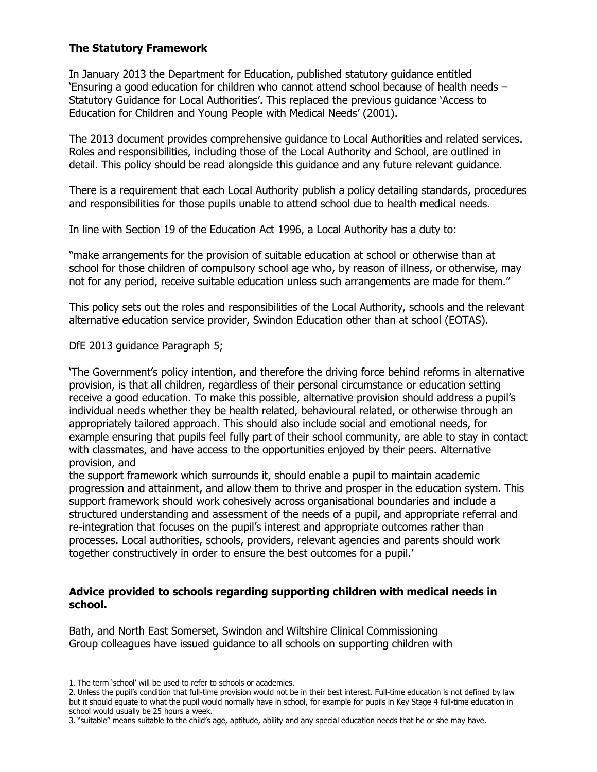### **The Statutory Framework**

In January 2013 the Department for Education, published statutory guidance entitled 'Ensuring a good education for children who cannot attend school because of health needs – Statutory Guidance for Local Authorities'. This replaced the previous guidance 'Access to Education for Children and Young People with Medical Needs' (2001).

The 2013 document provides comprehensive guidance to Local Authorities and related services. Roles and responsibilities, including those of the Local Authority and School, are outlined in detail. This policy should be read alongside this guidance and any future relevant guidance.

There is a requirement that each Local Authority publish a policy detailing standards, procedures and responsibilities for those pupils unable to attend school due to health medical needs.

In line with Section 19 of the Education Act 1996, a Local Authority has a duty to:

"make arrangements for the provision of suitable education at school or otherwise than at school for those children of compulsory school age who, by reason of illness, or otherwise, may not for any period, receive suitable education unless such arrangements are made for them."

This policy sets out the roles and responsibilities of the Local Authority, schools and the relevant alternative education service provider, Swindon Education other than at school (EOTAS).

DfE 2013 guidance Paragraph 5;

'The Government's policy intention, and therefore the driving force behind reforms in alternative provision, is that all children, regardless of their personal circumstance or education setting receive a good education. To make this possible, alternative provision should address a pupil's individual needs whether they be health related, behavioural related, or otherwise through an appropriately tailored approach. This should also include social and emotional needs, for example ensuring that pupils feel fully part of their school community, are able to stay in contact with classmates, and have access to the opportunities enjoyed by their peers. Alternative provision, and

the support framework which surrounds it, should enable a pupil to maintain academic progression and attainment, and allow them to thrive and prosper in the education system. This support framework should work cohesively across organisational boundaries and include a structured understanding and assessment of the needs of a pupil, and appropriate referral and re-integration that focuses on the pupil's interest and appropriate outcomes rather than processes. Local authorities, schools, providers, relevant agencies and parents should work together constructively in order to ensure the best outcomes for a pupil.'

### **Advice provided to schools regarding supporting children with medical needs in school.**

Bath, and North East Somerset, Swindon and Wiltshire Clinical Commissioning Group colleagues have issued guidance to all schools on supporting children with

<sup>1.</sup> The term 'school' will be used to refer to schools or academies.

<sup>2.</sup> Unless the pupil's condition that full-time provision would not be in their best interest. Full-time education is not defined by law but it should equate to what the pupil would normally have in school, for example for pupils in Key Stage 4 full-time education in school would usually be 25 hours a week.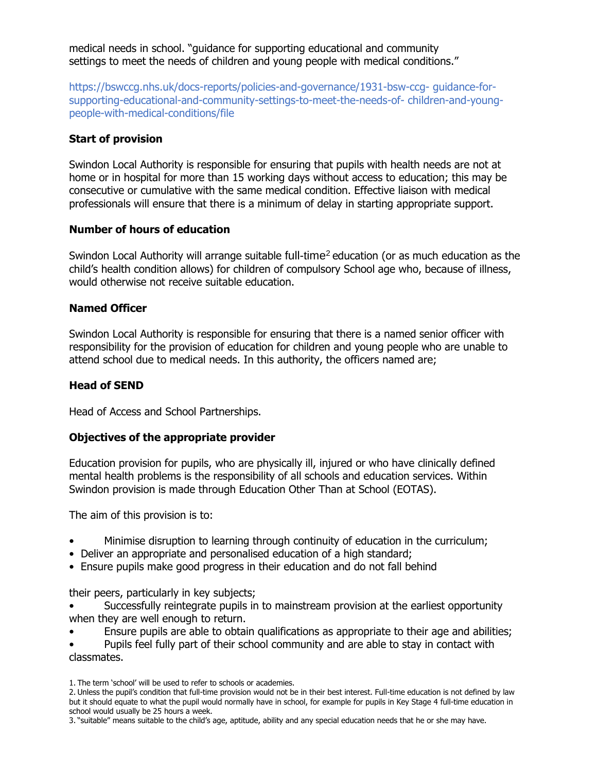medical needs in school. "guidance for supporting educational and community settings to meet the needs of children and young people with medical conditions."

https://bswccg.nhs.uk/docs-reports/policies-and-governance/1931-bsw-ccg- guidance-forsupporting-educational-and-community-settings-to-meet-the-needs-of- children-and-youngpeople-with-medical-conditions/file

# **Start of provision**

Swindon Local Authority is responsible for ensuring that pupils with health needs are not at home or in hospital for more than 15 working days without access to education; this may be consecutive or cumulative with the same medical condition. Effective liaison with medical professionals will ensure that there is a minimum of delay in starting appropriate support.

## **Number of hours of education**

Swindon Local Authority will arrange suitable full-time<sup>2</sup> education (or as much education as the child's health condition allows) for children of compulsory School age who, because of illness, would otherwise not receive suitable education.

## **Named Officer**

Swindon Local Authority is responsible for ensuring that there is a named senior officer with responsibility for the provision of education for children and young people who are unable to attend school due to medical needs. In this authority, the officers named are;

# **Head of SEND**

Head of Access and School Partnerships.

## **Objectives of the appropriate provider**

Education provision for pupils, who are physically ill, injured or who have clinically defined mental health problems is the responsibility of all schools and education services. Within Swindon provision is made through Education Other Than at School (EOTAS).

The aim of this provision is to:

- Minimise disruption to learning through continuity of education in the curriculum;
- Deliver an appropriate and personalised education of a high standard;
- Ensure pupils make good progress in their education and do not fall behind

their peers, particularly in key subjects;

- Successfully reintegrate pupils in to mainstream provision at the earliest opportunity when they are well enough to return.
- Ensure pupils are able to obtain qualifications as appropriate to their age and abilities;

• Pupils feel fully part of their school community and are able to stay in contact with classmates.

<sup>1.</sup> The term 'school' will be used to refer to schools or academies.

<sup>2.</sup> Unless the pupil's condition that full-time provision would not be in their best interest. Full-time education is not defined by law but it should equate to what the pupil would normally have in school, for example for pupils in Key Stage 4 full-time education in school would usually be 25 hours a week.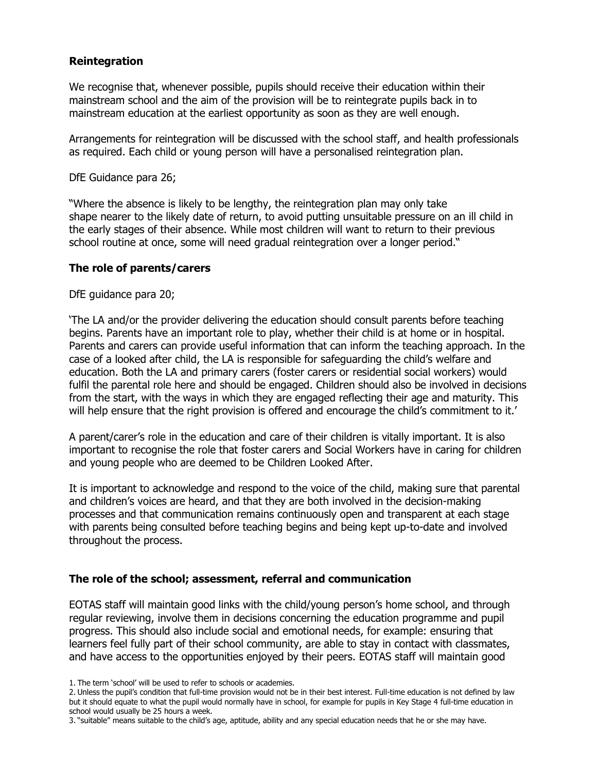### **Reintegration**

We recognise that, whenever possible, pupils should receive their education within their mainstream school and the aim of the provision will be to reintegrate pupils back in to mainstream education at the earliest opportunity as soon as they are well enough.

Arrangements for reintegration will be discussed with the school staff, and health professionals as required. Each child or young person will have a personalised reintegration plan.

DfE Guidance para 26;

"Where the absence is likely to be lengthy, the reintegration plan may only take shape nearer to the likely date of return, to avoid putting unsuitable pressure on an ill child in the early stages of their absence. While most children will want to return to their previous school routine at once, some will need gradual reintegration over a longer period."

### **The role of parents/carers**

DfE guidance para 20;

'The LA and/or the provider delivering the education should consult parents before teaching begins. Parents have an important role to play, whether their child is at home or in hospital. Parents and carers can provide useful information that can inform the teaching approach. In the case of a looked after child, the LA is responsible for safeguarding the child's welfare and education. Both the LA and primary carers (foster carers or residential social workers) would fulfil the parental role here and should be engaged. Children should also be involved in decisions from the start, with the ways in which they are engaged reflecting their age and maturity. This will help ensure that the right provision is offered and encourage the child's commitment to it.'

A parent/carer's role in the education and care of their children is vitally important. It is also important to recognise the role that foster carers and Social Workers have in caring for children and young people who are deemed to be Children Looked After.

It is important to acknowledge and respond to the voice of the child, making sure that parental and children's voices are heard, and that they are both involved in the decision-making processes and that communication remains continuously open and transparent at each stage with parents being consulted before teaching begins and being kept up-to-date and involved throughout the process.

### **The role of the school; assessment, referral and communication**

EOTAS staff will maintain good links with the child/young person's home school, and through regular reviewing, involve them in decisions concerning the education programme and pupil progress. This should also include social and emotional needs, for example: ensuring that learners feel fully part of their school community, are able to stay in contact with classmates, and have access to the opportunities enjoyed by their peers. EOTAS staff will maintain good

<sup>1.</sup> The term 'school' will be used to refer to schools or academies.

<sup>2.</sup> Unless the pupil's condition that full-time provision would not be in their best interest. Full-time education is not defined by law but it should equate to what the pupil would normally have in school, for example for pupils in Key Stage 4 full-time education in school would usually be 25 hours a week.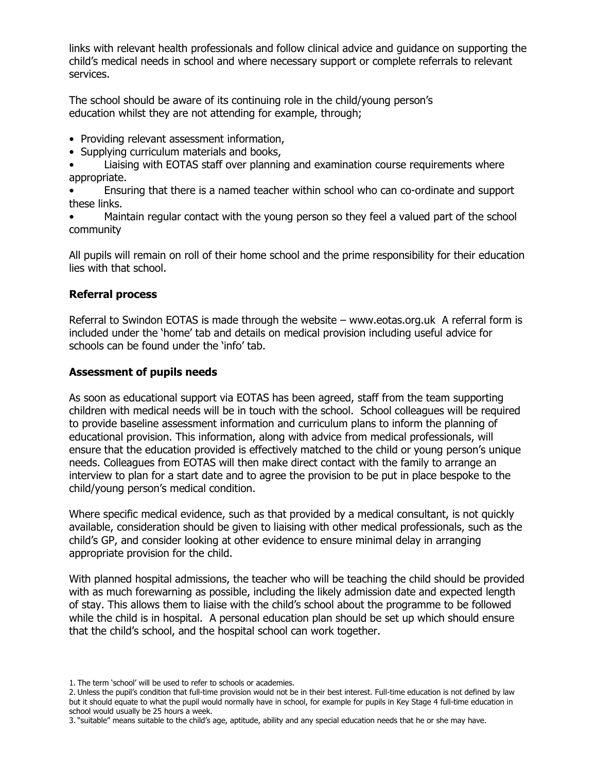links with relevant health professionals and follow clinical advice and guidance on supporting the child's medical needs in school and where necessary support or complete referrals to relevant services.

The school should be aware of its continuing role in the child/young person's education whilst they are not attending for example, through;

- Providing relevant assessment information,
- Supplying curriculum materials and books,
- Liaising with EOTAS staff over planning and examination course requirements where appropriate.

• Ensuring that there is a named teacher within school who can co-ordinate and support these links.

• Maintain regular contact with the young person so they feel a valued part of the school community

All pupils will remain on roll of their home school and the prime responsibility for their education lies with that school.

### **Referral process**

Referral to Swindon EOTAS is made through the website – www.eotas.org.uk A referral form is included under the 'home' tab and details on medical provision including useful advice for schools can be found under the 'info' tab.

### **Assessment of pupils needs**

As soon as educational support via EOTAS has been agreed, staff from the team supporting children with medical needs will be in touch with the school. School colleagues will be required to provide baseline assessment information and curriculum plans to inform the planning of educational provision. This information, along with advice from medical professionals, will ensure that the education provided is effectively matched to the child or young person's unique needs. Colleagues from EOTAS will then make direct contact with the family to arrange an interview to plan for a start date and to agree the provision to be put in place bespoke to the child/young person's medical condition.

Where specific medical evidence, such as that provided by a medical consultant, is not quickly available, consideration should be given to liaising with other medical professionals, such as the child's GP, and consider looking at other evidence to ensure minimal delay in arranging appropriate provision for the child.

With planned hospital admissions, the teacher who will be teaching the child should be provided with as much forewarning as possible, including the likely admission date and expected length of stay. This allows them to liaise with the child's school about the programme to be followed while the child is in hospital. A personal education plan should be set up which should ensure that the child's school, and the hospital school can work together.

<sup>1.</sup> The term 'school' will be used to refer to schools or academies.

<sup>2.</sup> Unless the pupil's condition that full-time provision would not be in their best interest. Full-time education is not defined by law but it should equate to what the pupil would normally have in school, for example for pupils in Key Stage 4 full-time education in school would usually be 25 hours a week.

<sup>3.</sup> "suitable" means suitable to the child's age, aptitude, ability and any special education needs that he or she may have.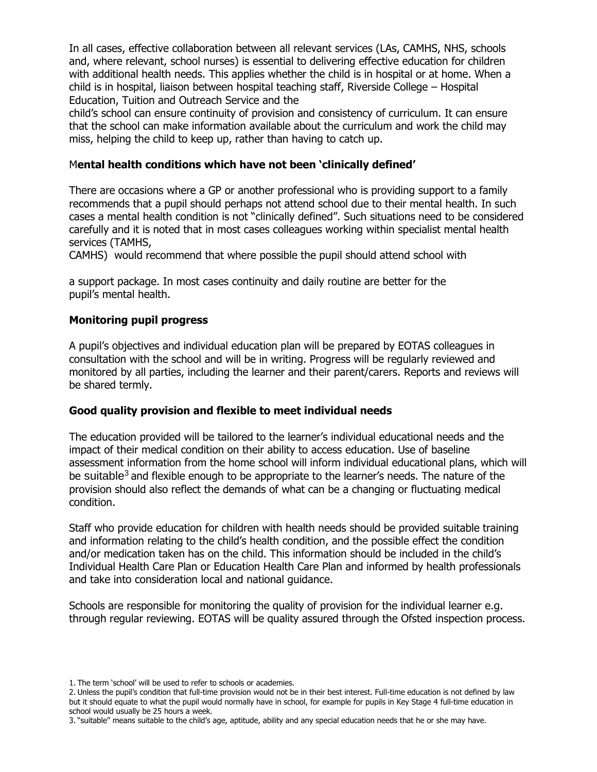In all cases, effective collaboration between all relevant services (LAs, CAMHS, NHS, schools and, where relevant, school nurses) is essential to delivering effective education for children with additional health needs. This applies whether the child is in hospital or at home. When a child is in hospital, liaison between hospital teaching staff, Riverside College – Hospital Education, Tuition and Outreach Service and the

child's school can ensure continuity of provision and consistency of curriculum. It can ensure that the school can make information available about the curriculum and work the child may miss, helping the child to keep up, rather than having to catch up.

#### M**ental health conditions which have not been 'clinically defined'**

There are occasions where a GP or another professional who is providing support to a family recommends that a pupil should perhaps not attend school due to their mental health. In such cases a mental health condition is not "clinically defined". Such situations need to be considered carefully and it is noted that in most cases colleagues working within specialist mental health services (TAMHS,

CAMHS) would recommend that where possible the pupil should attend school with

a support package. In most cases continuity and daily routine are better for the pupil's mental health.

### **Monitoring pupil progress**

A pupil's objectives and individual education plan will be prepared by EOTAS colleagues in consultation with the school and will be in writing. Progress will be regularly reviewed and monitored by all parties, including the learner and their parent/carers. Reports and reviews will be shared termly.

#### **Good quality provision and flexible to meet individual needs**

The education provided will be tailored to the learner's individual educational needs and the impact of their medical condition on their ability to access education. Use of baseline assessment information from the home school will inform individual educational plans, which will be suitable<sup>3</sup> and flexible enough to be appropriate to the learner's needs. The nature of the provision should also reflect the demands of what can be a changing or fluctuating medical condition.

Staff who provide education for children with health needs should be provided suitable training and information relating to the child's health condition, and the possible effect the condition and/or medication taken has on the child. This information should be included in the child's Individual Health Care Plan or Education Health Care Plan and informed by health professionals and take into consideration local and national guidance.

Schools are responsible for monitoring the quality of provision for the individual learner e.g. through regular reviewing. EOTAS will be quality assured through the Ofsted inspection process.

<sup>1.</sup> The term 'school' will be used to refer to schools or academies.

<sup>2.</sup> Unless the pupil's condition that full-time provision would not be in their best interest. Full-time education is not defined by law but it should equate to what the pupil would normally have in school, for example for pupils in Key Stage 4 full-time education in school would usually be 25 hours a week.

<sup>3.</sup> "suitable" means suitable to the child's age, aptitude, ability and any special education needs that he or she may have.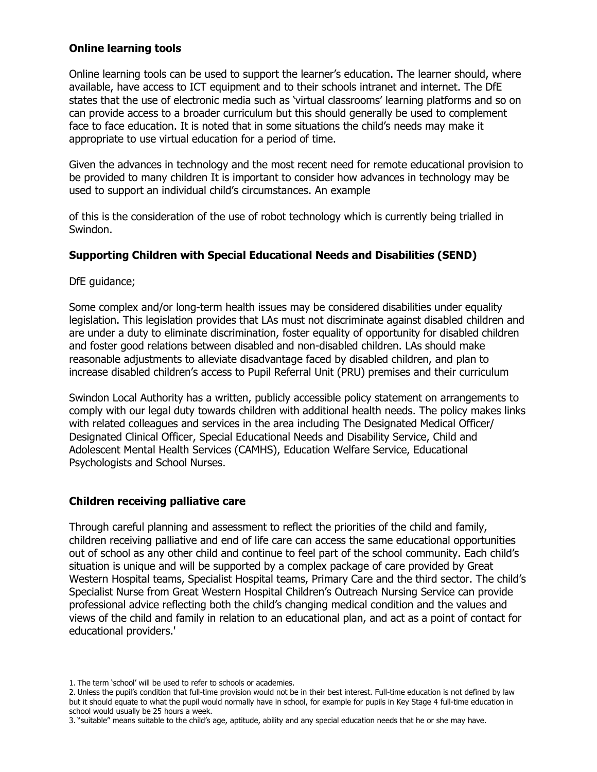### **Online learning tools**

Online learning tools can be used to support the learner's education. The learner should, where available, have access to ICT equipment and to their schools intranet and internet. The DfE states that the use of electronic media such as 'virtual classrooms' learning platforms and so on can provide access to a broader curriculum but this should generally be used to complement face to face education. It is noted that in some situations the child's needs may make it appropriate to use virtual education for a period of time.

Given the advances in technology and the most recent need for remote educational provision to be provided to many children It is important to consider how advances in technology may be used to support an individual child's circumstances. An example

of this is the consideration of the use of robot technology which is currently being trialled in Swindon.

### **Supporting Children with Special Educational Needs and Disabilities (SEND)**

DfE guidance;

Some complex and/or long-term health issues may be considered disabilities under equality legislation. This legislation provides that LAs must not discriminate against disabled children and are under a duty to eliminate discrimination, foster equality of opportunity for disabled children and foster good relations between disabled and non-disabled children. LAs should make reasonable adjustments to alleviate disadvantage faced by disabled children, and plan to increase disabled children's access to Pupil Referral Unit (PRU) premises and their curriculum

Swindon Local Authority has a written, publicly accessible policy statement on arrangements to comply with our legal duty towards children with additional health needs. The policy makes links with related colleagues and services in the area including The Designated Medical Officer/ Designated Clinical Officer, Special Educational Needs and Disability Service, Child and Adolescent Mental Health Services (CAMHS), Education Welfare Service, Educational Psychologists and School Nurses.

## **Children receiving palliative care**

Through careful planning and assessment to reflect the priorities of the child and family, children receiving palliative and end of life care can access the same educational opportunities out of school as any other child and continue to feel part of the school community. Each child's situation is unique and will be supported by a complex package of care provided by Great Western Hospital teams, Specialist Hospital teams, Primary Care and the third sector. The child's Specialist Nurse from Great Western Hospital Children's Outreach Nursing Service can provide professional advice reflecting both the child's changing medical condition and the values and views of the child and family in relation to an educational plan, and act as a point of contact for educational providers.'

<sup>1.</sup> The term 'school' will be used to refer to schools or academies.

<sup>2.</sup> Unless the pupil's condition that full-time provision would not be in their best interest. Full-time education is not defined by law but it should equate to what the pupil would normally have in school, for example for pupils in Key Stage 4 full-time education in school would usually be 25 hours a week.

<sup>3.</sup> "suitable" means suitable to the child's age, aptitude, ability and any special education needs that he or she may have.